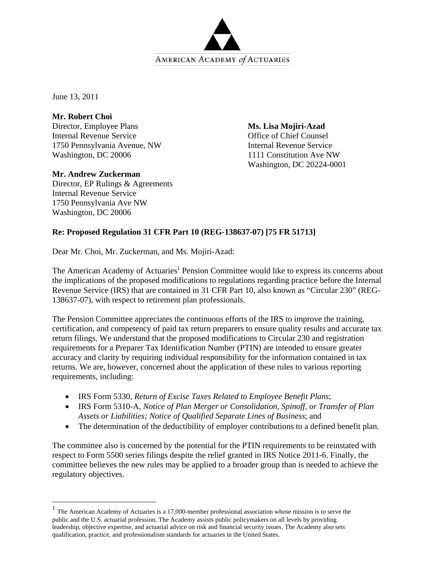

June 13, 2011

 $\overline{a}$ 

**Mr. Robert Choi** 

Director, Employee Plans Internal Revenue Service 1750 Pennsylvania Avenue, NW Washington, DC 20006

# **Mr. Andrew Zuckerman**

Director, EP Rulings & Agreements Internal Revenue Service 1750 Pennsylvania Ave NW Washington, DC 20006

**Ms. Lisa Mojiri-Azad**  Office of Chief Counsel Internal Revenue Service 1111 Constitution Ave NW Washington, DC 20224-0001

# **Re: Proposed Regulation 31 CFR Part 10 (REG-138637-07) [75 FR 51713]**

Dear Mr. Choi, Mr. Zuckerman, and Ms. Mojiri-Azad:

The American Academy of Actuaries<sup>1</sup> Pension Committee would like to express its concerns about the implications of the proposed modifications to regulations regarding practice before the Internal Revenue Service (IRS) that are contained in 31 CFR Part 10, also known as "Circular 230" (REG-138637-07), with respect to retirement plan professionals.

The Pension Committee appreciates the continuous efforts of the IRS to improve the training, certification, and competency of paid tax return preparers to ensure quality results and accurate tax return filings. We understand that the proposed modifications to Circular 230 and registration requirements for a Preparer Tax Identification Number (PTIN) are intended to ensure greater accuracy and clarity by requiring individual responsibility for the information contained in tax returns. We are, however, concerned about the application of these rules to various reporting requirements, including:

- IRS Form 5330, *Return of Excise Taxes Related to Employee Benefit Plans*;
- IRS Form 5310-A, *Notice of Plan Merger or Consolidation, Spinoff, or Transfer of Plan Assets or Liabilities; Notice of Qualified Separate Lines of Business*; and
- The determination of the deductibility of employer contributions to a defined benefit plan.

The committee also is concerned by the potential for the PTIN requirements to be reinstated with respect to Form 5500 series filings despite the relief granted in IRS Notice 2011-6. Finally, the committee believes the new rules may be applied to a broader group than is needed to achieve the regulatory objectives.

 $<sup>1</sup>$  The American Academy of Actuaries is a 17,000-member professional association whose mission is to serve the</sup> public and the U.S. actuarial profession. The Academy assists public policymakers on all levels by providing leadership, objective expertise, and actuarial advice on risk and financial security issues. The Academy also sets qualification, practice, and professionalism standards for actuaries in the United States.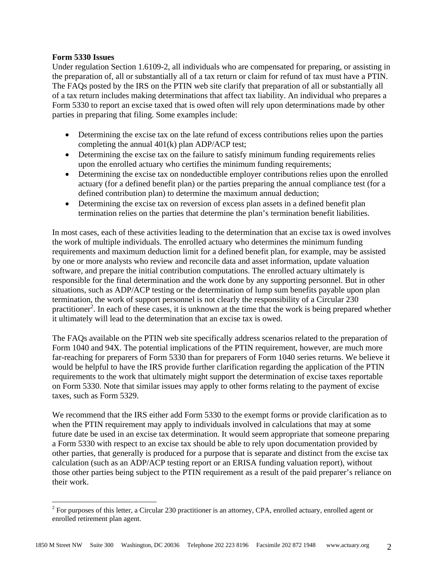# **Form 5330 Issues**

Under regulation Section 1.6109-2, all individuals who are compensated for preparing, or assisting in the preparation of, all or substantially all of a tax return or claim for refund of tax must have a PTIN. The FAQs posted by the IRS on the PTIN web site clarify that preparation of all or substantially all of a tax return includes making determinations that affect tax liability. An individual who prepares a Form 5330 to report an excise taxed that is owed often will rely upon determinations made by other parties in preparing that filing. Some examples include:

- Determining the excise tax on the late refund of excess contributions relies upon the parties completing the annual 401(k) plan ADP/ACP test;
- Determining the excise tax on the failure to satisfy minimum funding requirements relies upon the enrolled actuary who certifies the minimum funding requirements;
- Determining the excise tax on nondeductible employer contributions relies upon the enrolled actuary (for a defined benefit plan) or the parties preparing the annual compliance test (for a defined contribution plan) to determine the maximum annual deduction;
- Determining the excise tax on reversion of excess plan assets in a defined benefit plan termination relies on the parties that determine the plan's termination benefit liabilities.

In most cases, each of these activities leading to the determination that an excise tax is owed involves the work of multiple individuals. The enrolled actuary who determines the minimum funding requirements and maximum deduction limit for a defined benefit plan, for example, may be assisted by one or more analysts who review and reconcile data and asset information, update valuation software, and prepare the initial contribution computations. The enrolled actuary ultimately is responsible for the final determination and the work done by any supporting personnel. But in other situations, such as ADP/ACP testing or the determination of lump sum benefits payable upon plan termination, the work of support personnel is not clearly the responsibility of a Circular 230 practitioner<sup>2</sup>. In each of these cases, it is unknown at the time that the work is being prepared whether it ultimately will lead to the determination that an excise tax is owed.

The FAQs available on the PTIN web site specifically address scenarios related to the preparation of Form 1040 and 94X. The potential implications of the PTIN requirement, however, are much more far-reaching for preparers of Form 5330 than for preparers of Form 1040 series returns. We believe it would be helpful to have the IRS provide further clarification regarding the application of the PTIN requirements to the work that ultimately might support the determination of excise taxes reportable on Form 5330. Note that similar issues may apply to other forms relating to the payment of excise taxes, such as Form 5329.

We recommend that the IRS either add Form 5330 to the exempt forms or provide clarification as to when the PTIN requirement may apply to individuals involved in calculations that may at some future date be used in an excise tax determination. It would seem appropriate that someone preparing a Form 5330 with respect to an excise tax should be able to rely upon documentation provided by other parties, that generally is produced for a purpose that is separate and distinct from the excise tax calculation (such as an ADP/ACP testing report or an ERISA funding valuation report), without those other parties being subject to the PTIN requirement as a result of the paid preparer's reliance on their work.

<sup>&</sup>lt;sup>2</sup> For purposes of this letter, a Circular 230 practitioner is an attorney, CPA, enrolled actuary, enrolled agent or enrolled retirement plan agent.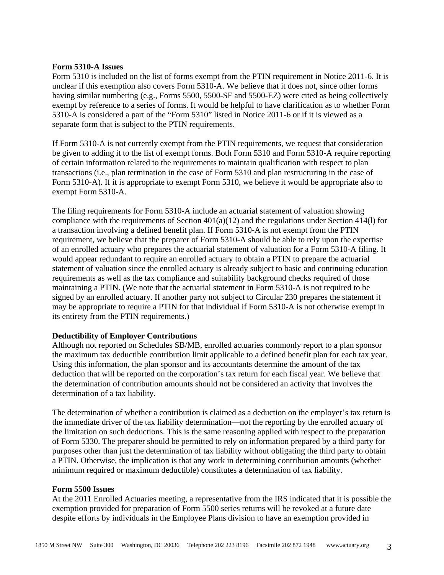# **Form 5310-A Issues**

Form 5310 is included on the list of forms exempt from the PTIN requirement in Notice 2011-6. It is unclear if this exemption also covers Form 5310-A. We believe that it does not, since other forms having similar numbering (e.g., Forms 5500, 5500-SF and 5500-EZ) were cited as being collectively exempt by reference to a series of forms. It would be helpful to have clarification as to whether Form 5310-A is considered a part of the "Form 5310" listed in Notice 2011-6 or if it is viewed as a separate form that is subject to the PTIN requirements.

If Form 5310-A is not currently exempt from the PTIN requirements, we request that consideration be given to adding it to the list of exempt forms. Both Form 5310 and Form 5310-A require reporting of certain information related to the requirements to maintain qualification with respect to plan transactions (i.e., plan termination in the case of Form 5310 and plan restructuring in the case of Form 5310-A). If it is appropriate to exempt Form 5310, we believe it would be appropriate also to exempt Form 5310-A.

The filing requirements for Form 5310-A include an actuarial statement of valuation showing compliance with the requirements of Section 401(a)(12) and the regulations under Section 414(l) for a transaction involving a defined benefit plan. If Form 5310-A is not exempt from the PTIN requirement, we believe that the preparer of Form 5310-A should be able to rely upon the expertise of an enrolled actuary who prepares the actuarial statement of valuation for a Form 5310-A filing. It would appear redundant to require an enrolled actuary to obtain a PTIN to prepare the actuarial statement of valuation since the enrolled actuary is already subject to basic and continuing education requirements as well as the tax compliance and suitability background checks required of those maintaining a PTIN. (We note that the actuarial statement in Form 5310-A is not required to be signed by an enrolled actuary. If another party not subject to Circular 230 prepares the statement it may be appropriate to require a PTIN for that individual if Form 5310-A is not otherwise exempt in its entirety from the PTIN requirements.)

# **Deductibility of Employer Contributions**

Although not reported on Schedules SB/MB, enrolled actuaries commonly report to a plan sponsor the maximum tax deductible contribution limit applicable to a defined benefit plan for each tax year. Using this information, the plan sponsor and its accountants determine the amount of the tax deduction that will be reported on the corporation's tax return for each fiscal year. We believe that the determination of contribution amounts should not be considered an activity that involves the determination of a tax liability.

The determination of whether a contribution is claimed as a deduction on the employer's tax return is the immediate driver of the tax liability determination—not the reporting by the enrolled actuary of the limitation on such deductions. This is the same reasoning applied with respect to the preparation of Form 5330. The preparer should be permitted to rely on information prepared by a third party for purposes other than just the determination of tax liability without obligating the third party to obtain a PTIN. Otherwise, the implication is that any work in determining contribution amounts (whether minimum required or maximum deductible) constitutes a determination of tax liability.

#### **Form 5500 Issues**

At the 2011 Enrolled Actuaries meeting, a representative from the IRS indicated that it is possible the exemption provided for preparation of Form 5500 series returns will be revoked at a future date despite efforts by individuals in the Employee Plans division to have an exemption provided in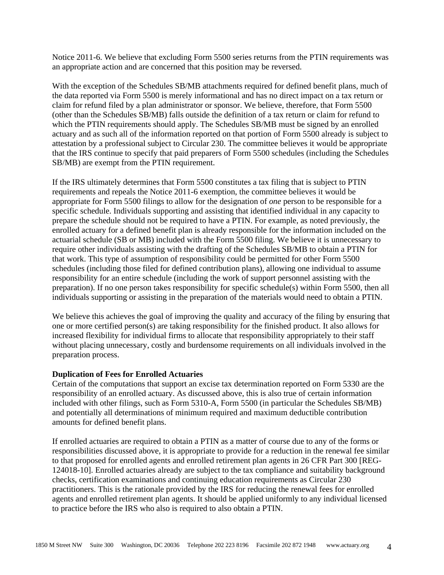Notice 2011-6. We believe that excluding Form 5500 series returns from the PTIN requirements was an appropriate action and are concerned that this position may be reversed.

With the exception of the Schedules SB/MB attachments required for defined benefit plans, much of the data reported via Form 5500 is merely informational and has no direct impact on a tax return or claim for refund filed by a plan administrator or sponsor. We believe, therefore, that Form 5500 (other than the Schedules SB/MB) falls outside the definition of a tax return or claim for refund to which the PTIN requirements should apply. The Schedules SB/MB must be signed by an enrolled actuary and as such all of the information reported on that portion of Form 5500 already is subject to attestation by a professional subject to Circular 230. The committee believes it would be appropriate that the IRS continue to specify that paid preparers of Form 5500 schedules (including the Schedules SB/MB) are exempt from the PTIN requirement.

If the IRS ultimately determines that Form 5500 constitutes a tax filing that is subject to PTIN requirements and repeals the Notice 2011-6 exemption, the committee believes it would be appropriate for Form 5500 filings to allow for the designation of *one* person to be responsible for a specific schedule. Individuals supporting and assisting that identified individual in any capacity to prepare the schedule should not be required to have a PTIN. For example, as noted previously, the enrolled actuary for a defined benefit plan is already responsible for the information included on the actuarial schedule (SB or MB) included with the Form 5500 filing. We believe it is unnecessary to require other individuals assisting with the drafting of the Schedules SB/MB to obtain a PTIN for that work. This type of assumption of responsibility could be permitted for other Form 5500 schedules (including those filed for defined contribution plans), allowing one individual to assume responsibility for an entire schedule (including the work of support personnel assisting with the preparation). If no one person takes responsibility for specific schedule(s) within Form 5500, then all individuals supporting or assisting in the preparation of the materials would need to obtain a PTIN.

We believe this achieves the goal of improving the quality and accuracy of the filing by ensuring that one or more certified person(s) are taking responsibility for the finished product. It also allows for increased flexibility for individual firms to allocate that responsibility appropriately to their staff without placing unnecessary, costly and burdensome requirements on all individuals involved in the preparation process.

# **Duplication of Fees for Enrolled Actuaries**

Certain of the computations that support an excise tax determination reported on Form 5330 are the responsibility of an enrolled actuary. As discussed above, this is also true of certain information included with other filings, such as Form 5310-A, Form 5500 (in particular the Schedules SB/MB) and potentially all determinations of minimum required and maximum deductible contribution amounts for defined benefit plans.

If enrolled actuaries are required to obtain a PTIN as a matter of course due to any of the forms or responsibilities discussed above, it is appropriate to provide for a reduction in the renewal fee similar to that proposed for enrolled agents and enrolled retirement plan agents in 26 CFR Part 300 [REG-124018-10]. Enrolled actuaries already are subject to the tax compliance and suitability background checks, certification examinations and continuing education requirements as Circular 230 practitioners. This is the rationale provided by the IRS for reducing the renewal fees for enrolled agents and enrolled retirement plan agents. It should be applied uniformly to any individual licensed to practice before the IRS who also is required to also obtain a PTIN.